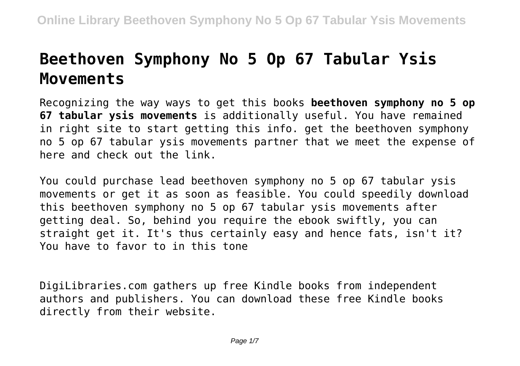# **Beethoven Symphony No 5 Op 67 Tabular Ysis Movements**

Recognizing the way ways to get this books **beethoven symphony no 5 op 67 tabular ysis movements** is additionally useful. You have remained in right site to start getting this info. get the beethoven symphony no 5 op 67 tabular ysis movements partner that we meet the expense of here and check out the link.

You could purchase lead beethoven symphony no 5 op 67 tabular ysis movements or get it as soon as feasible. You could speedily download this beethoven symphony no 5 op 67 tabular ysis movements after getting deal. So, behind you require the ebook swiftly, you can straight get it. It's thus certainly easy and hence fats, isn't it? You have to favor to in this tone

DigiLibraries.com gathers up free Kindle books from independent authors and publishers. You can download these free Kindle books directly from their website.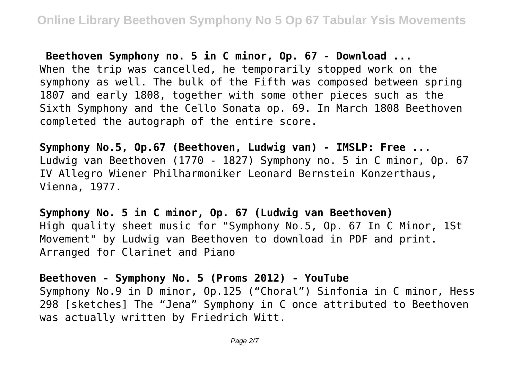**Beethoven Symphony no. 5 in C minor, Op. 67 - Download ...** When the trip was cancelled, he temporarily stopped work on the symphony as well. The bulk of the Fifth was composed between spring 1807 and early 1808, together with some other pieces such as the Sixth Symphony and the Cello Sonata op. 69. In March 1808 Beethoven completed the autograph of the entire score.

**Symphony No.5, Op.67 (Beethoven, Ludwig van) - IMSLP: Free ...** Ludwig van Beethoven (1770 - 1827) Symphony no. 5 in C minor, Op. 67 IV Allegro Wiener Philharmoniker Leonard Bernstein Konzerthaus, Vienna, 1977.

**Symphony No. 5 in C minor, Op. 67 (Ludwig van Beethoven)** High quality sheet music for "Symphony No.5, Op. 67 In C Minor, 1St Movement" by Ludwig van Beethoven to download in PDF and print. Arranged for Clarinet and Piano

**Beethoven - Symphony No. 5 (Proms 2012) - YouTube** Symphony No.9 in D minor, Op.125 ("Choral") Sinfonia in C minor, Hess 298 [sketches] The "Jena" Symphony in C once attributed to Beethoven was actually written by Friedrich Witt.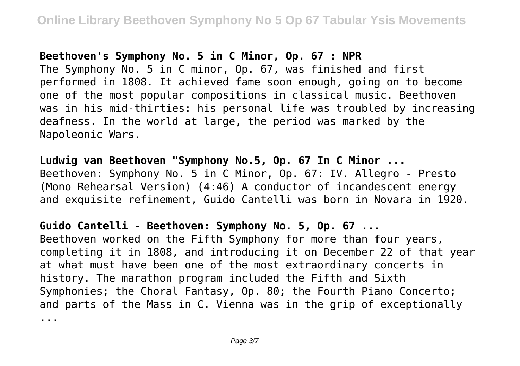### **Beethoven's Symphony No. 5 in C Minor, Op. 67 : NPR**

The Symphony No. 5 in C minor, Op. 67, was finished and first performed in 1808. It achieved fame soon enough, going on to become one of the most popular compositions in classical music. Beethoven was in his mid-thirties: his personal life was troubled by increasing deafness. In the world at large, the period was marked by the Napoleonic Wars.

**Ludwig van Beethoven "Symphony No.5, Op. 67 In C Minor ...** Beethoven: Symphony No. 5 in C Minor, Op. 67: IV. Allegro - Presto (Mono Rehearsal Version) (4:46) A conductor of incandescent energy and exquisite refinement, Guido Cantelli was born in Novara in 1920.

**Guido Cantelli - Beethoven: Symphony No. 5, Op. 67 ...** Beethoven worked on the Fifth Symphony for more than four years, completing it in 1808, and introducing it on December 22 of that year at what must have been one of the most extraordinary concerts in history. The marathon program included the Fifth and Sixth Symphonies; the Choral Fantasy, Op. 80; the Fourth Piano Concerto; and parts of the Mass in C. Vienna was in the grip of exceptionally ...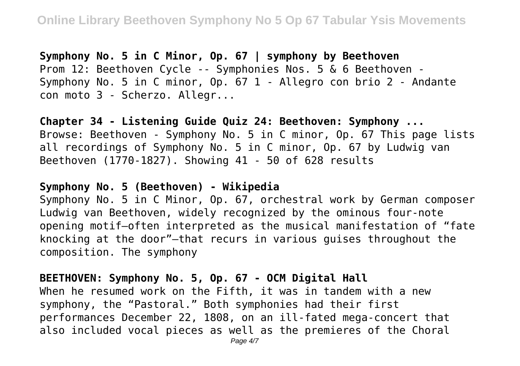**Symphony No. 5 in C Minor, Op. 67 | symphony by Beethoven** Prom 12: Beethoven Cycle -- Symphonies Nos. 5 & 6 Beethoven - Symphony No. 5 in C minor, Op. 67 1 - Allegro con brio 2 - Andante con moto 3 - Scherzo. Allegr...

**Chapter 34 - Listening Guide Quiz 24: Beethoven: Symphony ...** Browse: Beethoven - Symphony No. 5 in C minor, Op. 67 This page lists all recordings of Symphony No. 5 in C minor, Op. 67 by Ludwig van Beethoven (1770-1827). Showing 41 - 50 of 628 results

## **Symphony No. 5 (Beethoven) - Wikipedia**

Symphony No. 5 in C Minor, Op. 67, orchestral work by German composer Ludwig van Beethoven, widely recognized by the ominous four-note opening motif—often interpreted as the musical manifestation of "fate knocking at the door"—that recurs in various guises throughout the composition. The symphony

## **BEETHOVEN: Symphony No. 5, Op. 67 - OCM Digital Hall**

When he resumed work on the Fifth, it was in tandem with a new symphony, the "Pastoral." Both symphonies had their first performances December 22, 1808, on an ill-fated mega-concert that also included vocal pieces as well as the premieres of the Choral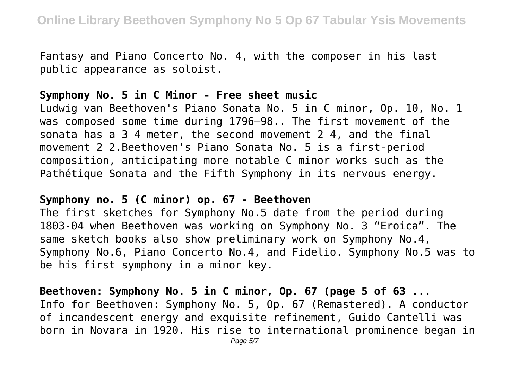Fantasy and Piano Concerto No. 4, with the composer in his last public appearance as soloist.

### **Symphony No. 5 in C Minor - Free sheet music**

Ludwig van Beethoven's Piano Sonata No. 5 in C minor, Op. 10, No. 1 was composed some time during 1796–98.. The first movement of the sonata has a 3 4 meter, the second movement 2 4, and the final movement 2 2.Beethoven's Piano Sonata No. 5 is a first-period composition, anticipating more notable C minor works such as the Pathétique Sonata and the Fifth Symphony in its nervous energy.

#### **Symphony no. 5 (C minor) op. 67 - Beethoven**

The first sketches for Symphony No.5 date from the period during 1803-04 when Beethoven was working on Symphony No. 3 "Eroica". The same sketch books also show preliminary work on Symphony No.4, Symphony No.6, Piano Concerto No.4, and Fidelio. Symphony No.5 was to be his first symphony in a minor key.

**Beethoven: Symphony No. 5 in C minor, Op. 67 (page 5 of 63 ...** Info for Beethoven: Symphony No. 5, Op. 67 (Remastered). A conductor of incandescent energy and exquisite refinement, Guido Cantelli was born in Novara in 1920. His rise to international prominence began in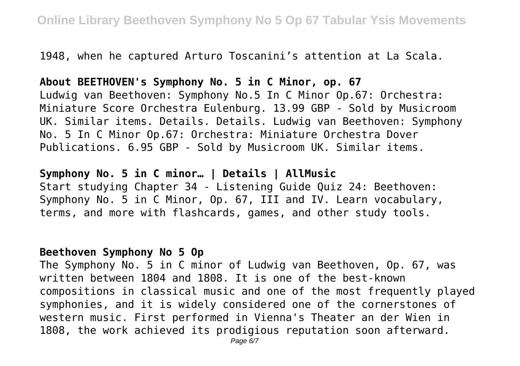1948, when he captured Arturo Toscanini's attention at La Scala.

## **About BEETHOVEN's Symphony No. 5 in C Minor, op. 67**

Ludwig van Beethoven: Symphony No.5 In C Minor Op.67: Orchestra: Miniature Score Orchestra Eulenburg. 13.99 GBP - Sold by Musicroom UK. Similar items. Details. Details. Ludwig van Beethoven: Symphony No. 5 In C Minor Op.67: Orchestra: Miniature Orchestra Dover Publications. 6.95 GBP - Sold by Musicroom UK. Similar items.

**Symphony No. 5 in C minor… | Details | AllMusic** Start studying Chapter 34 - Listening Guide Quiz 24: Beethoven: Symphony No. 5 in C Minor, Op. 67, III and IV. Learn vocabulary, terms, and more with flashcards, games, and other study tools.

## **Beethoven Symphony No 5 Op**

The Symphony No. 5 in C minor of Ludwig van Beethoven, Op. 67, was written between 1804 and 1808. It is one of the best-known compositions in classical music and one of the most frequently played symphonies, and it is widely considered one of the cornerstones of western music. First performed in Vienna's Theater an der Wien in 1808, the work achieved its prodigious reputation soon afterward.